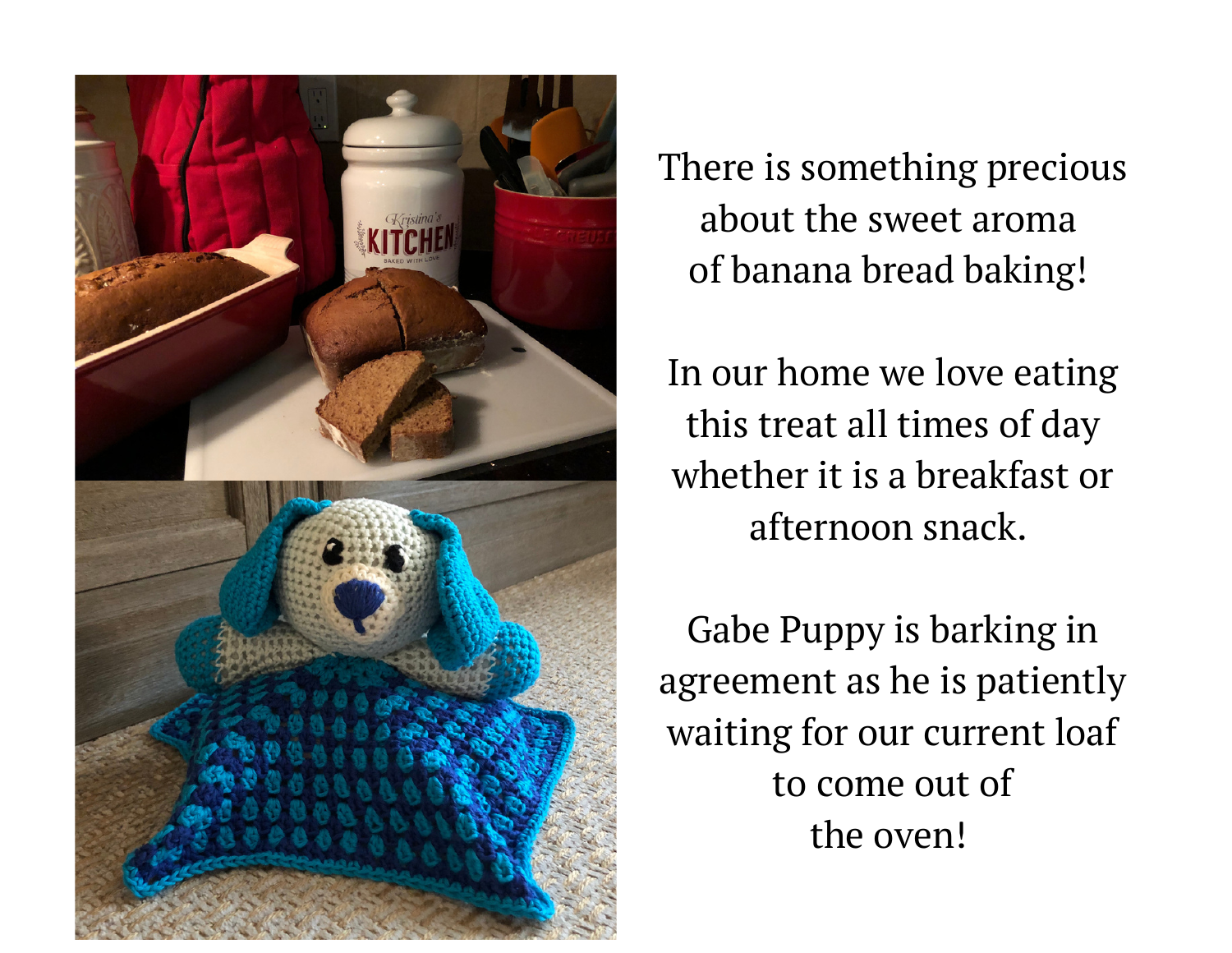

There is something precious about the sweet aroma of banana bread baking!

In our home we love eating this treat all times of day whether it is a breakfast or afternoon snack.

Gabe Puppy is barking in agreement as he is patiently waiting for our current loaf to come out of the oven!